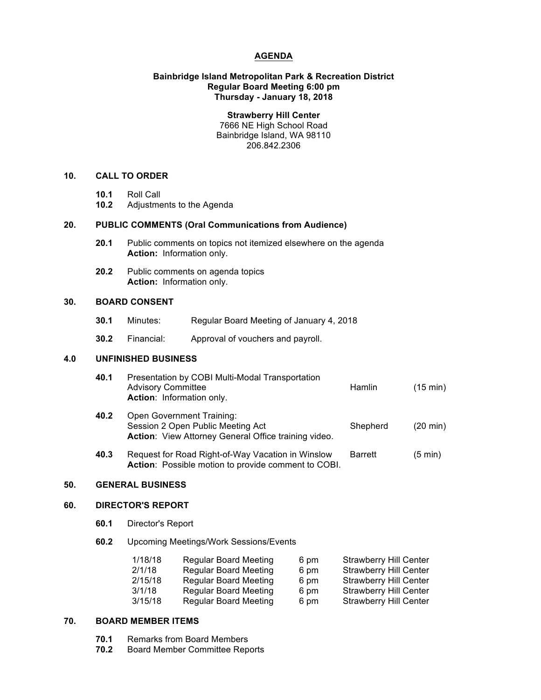### **AGENDA**

# **Bainbridge Island Metropolitan Park & Recreation District Regular Board Meeting 6:00 pm Thursday - January 18, 2018**

**Strawberry Hill Center** 7666 NE High School Road Bainbridge Island, WA 98110 206.842.2306

### **10. CALL TO ORDER**

- **10.1** Roll Call
- **10.2** Adjustments to the Agenda

# **20. PUBLIC COMMENTS (Oral Communications from Audience)**

- **20.1** Public comments on topics not itemized elsewhere on the agenda **Action:** Information only.
- **20.2** Public comments on agenda topics **Action:** Information only.

# **30. BOARD CONSENT**

- **30.1** Minutes: Regular Board Meeting of January 4, 2018
- **30.2** Financial: Approval of vouchers and payroll.

#### **4.0 UNFINISHED BUSINESS**

| 40.1 | Presentation by COBI Multi-Modal Transportation<br><b>Advisory Committee</b><br>Action: Information only.              | Hamlin   | $(15 \text{ min})$ |
|------|------------------------------------------------------------------------------------------------------------------------|----------|--------------------|
| 40.2 | Open Government Training:<br>Session 2 Open Public Meeting Act<br>Action: View Attorney General Office training video. | Shepherd | $(20 \text{ min})$ |

**40.3** Request for Road Right-of-Way Vacation in Winslow Barrett (5 min) **Action**: Possible motion to provide comment to COBI.

# **50. GENERAL BUSINESS**

# **60. DIRECTOR'S REPORT**

- **60.1** Director's Report
- **60.2** Upcoming Meetings/Work Sessions/Events

| 1/18/18 | <b>Regular Board Meeting</b> | 6 pm | <b>Strawberry Hill Center</b> |
|---------|------------------------------|------|-------------------------------|
| 2/1/18  | <b>Regular Board Meeting</b> | 6 pm | <b>Strawberry Hill Center</b> |
| 2/15/18 | <b>Regular Board Meeting</b> | 6 pm | <b>Strawberry Hill Center</b> |
| 3/1/18  | <b>Regular Board Meeting</b> | 6 pm | <b>Strawberry Hill Center</b> |
| 3/15/18 | <b>Regular Board Meeting</b> | 6 pm | <b>Strawberry Hill Center</b> |

#### **70. BOARD MEMBER ITEMS**

- **70.1** Remarks from Board Members
- **70.2** Board Member Committee Reports